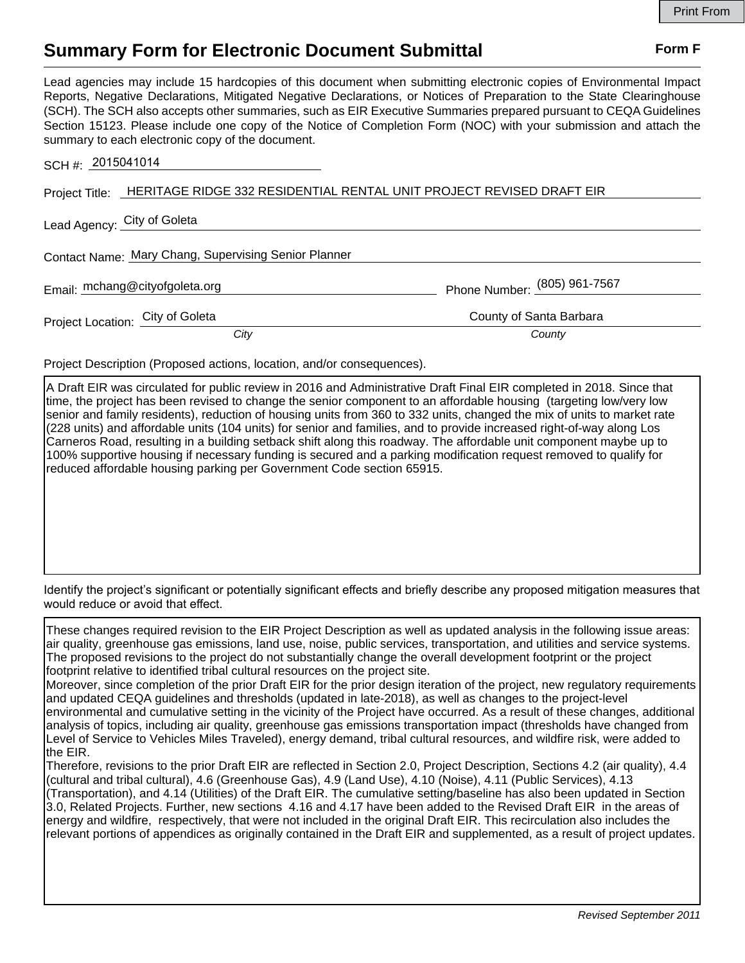## **Summary Form for Electronic Document Submittal Form F Form F**

Lead agencies may include 15 hardcopies of this document when submitting electronic copies of Environmental Impact Reports, Negative Declarations, Mitigated Negative Declarations, or Notices of Preparation to the State Clearinghouse (SCH). The SCH also accepts other summaries, such as EIR Executive Summaries prepared pursuant to CEQA Guidelines Section 15123. Please include one copy of the Notice of Completion Form (NOC) with your submission and attach the summary to each electronic copy of the document.

| SCH #: 2015041014                                    |                                                                                     |                              |
|------------------------------------------------------|-------------------------------------------------------------------------------------|------------------------------|
|                                                      | Project Title: HERITAGE RIDGE 332 RESIDENTIAL RENTAL UNIT PROJECT REVISED DRAFT EIR |                              |
| Lead Agency: City of Goleta                          |                                                                                     |                              |
| Contact Name: Mary Chang, Supervising Senior Planner |                                                                                     |                              |
|                                                      | Email: mchang@cityofgoleta.org                                                      | Phone Number: (805) 961-7567 |
| Project Location: City of Goleta                     |                                                                                     | County of Santa Barbara      |
|                                                      | City                                                                                | County                       |

Project Description (Proposed actions, location, and/or consequences).

A Draft EIR was circulated for public review in 2016 and Administrative Draft Final EIR completed in 2018. Since that time, the project has been revised to change the senior component to an affordable housing (targeting low/very low senior and family residents), reduction of housing units from 360 to 332 units, changed the mix of units to market rate (228 units) and affordable units (104 units) for senior and families, and to provide increased right-of-way along Los Carneros Road, resulting in a building setback shift along this roadway. The affordable unit component maybe up to 100% supportive housing if necessary funding is secured and a parking modification request removed to qualify for reduced affordable housing parking per Government Code section 65915.

Identify the project's significant or potentially significant effects and briefly describe any proposed mitigation measures that would reduce or avoid that effect.

These changes required revision to the EIR Project Description as well as updated analysis in the following issue areas: air quality, greenhouse gas emissions, land use, noise, public services, transportation, and utilities and service systems. The proposed revisions to the project do not substantially change the overall development footprint or the project footprint relative to identified tribal cultural resources on the project site. Moreover, since completion of the prior Draft EIR for the prior design iteration of the project, new regulatory requirements and updated CEQA guidelines and thresholds (updated in late-2018), as well as changes to the project-level environmental and cumulative setting in the vicinity of the Project have occurred. As a result of these changes, additional analysis of topics, including air quality, greenhouse gas emissions transportation impact (thresholds have changed from Level of Service to Vehicles Miles Traveled), energy demand, tribal cultural resources, and wildfire risk, were added to the EIR. Therefore, revisions to the prior Draft EIR are reflected in Section 2.0, Project Description, Sections 4.2 (air quality), 4.4 (cultural and tribal cultural), 4.6 (Greenhouse Gas), 4.9 (Land Use), 4.10 (Noise), 4.11 (Public Services), 4.13 (Transportation), and 4.14 (Utilities) of the Draft EIR. The cumulative setting/baseline has also been updated in Section 3.0, Related Projects. Further, new sections 4.16 and 4.17 have been added to the Revised Draft EIR in the areas of energy and wildfire, respectively, that were not included in the original Draft EIR. This recirculation also includes the relevant portions of appendices as originally contained in the Draft EIR and supplemented, as a result of project updates.